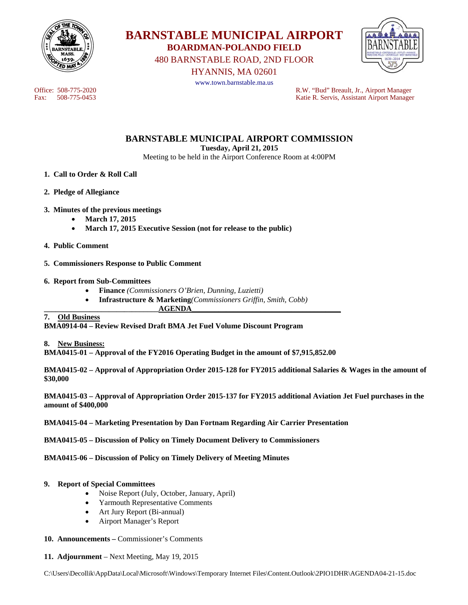

**BARNSTABLE MUNICIPAL AIRPORT BOARDMAN-POLANDO FIELD** 

480 BARNSTABLE ROAD, 2ND FLOOR



HYANNIS, MA 02601 www.town.barnstable.ma.us

Office: 508-775-2020<br>
Fax: 508-775-0453<br>
R.W. "Bud" Breault, Jr., Airport Manager<br>
Ratie R. Servis. Assistant Airport Manager Katie R. Servis, Assistant Airport Manager

# **BARNSTABLE MUNICIPAL AIRPORT COMMISSION**

**Tuesday, April 21, 2015** 

Meeting to be held in the Airport Conference Room at 4:00PM

- **1. Call to Order & Roll Call**
- **2. Pledge of Allegiance**

#### **3. Minutes of the previous meetings**

- **March 17, 2015**
- **March 17, 2015 Executive Session (not for release to the public)**
- **4. Public Comment**
- **5. Commissioners Response to Public Comment**
- **6. Report from Sub-Committees** 
	- **Finance** *(Commissioners O'Brien, Dunning, Luzietti)*
	- **Infrastructure & Marketing***(Commissioners Griffin, Smith, Cobb)*

**\_\_\_\_\_\_\_\_\_\_\_\_\_\_\_\_\_\_\_\_\_\_\_\_\_\_\_\_\_\_AGENDA\_\_\_\_\_\_\_\_\_\_\_\_\_\_\_\_\_\_\_\_\_\_\_\_\_\_\_\_\_\_\_\_\_\_\_\_\_\_\_** 

#### **7. Old Business**

**BMA0914-04 – Review Revised Draft BMA Jet Fuel Volume Discount Program** 

**8. New Business:** 

**BMA0415-01 – Approval of the FY2016 Operating Budget in the amount of \$7,915,852.00** 

**BMA0415-02 – Approval of Appropriation Order 2015-128 for FY2015 additional Salaries & Wages in the amount of \$30,000** 

**BMA0415-03 – Approval of Appropriation Order 2015-137 for FY2015 additional Aviation Jet Fuel purchases in the amount of \$400,000** 

**BMA0415-04 – Marketing Presentation by Dan Fortnam Regarding Air Carrier Presentation** 

**BMA0415-05 – Discussion of Policy on Timely Document Delivery to Commissioners** 

**BMA0415-06 – Discussion of Policy on Timely Delivery of Meeting Minutes** 

#### **9. Report of Special Committees**

- Noise Report (July, October, January, April)
- Yarmouth Representative Comments
- Art Jury Report (Bi-annual)
- Airport Manager's Report
- **10. Announcements** Commissioner's Comments
- **11. Adjournment** Next Meeting, May 19, 2015

C:\Users\Decollik\AppData\Local\Microsoft\Windows\Temporary Internet Files\Content.Outlook\2PIO1DHR\AGENDA04-21-15.doc